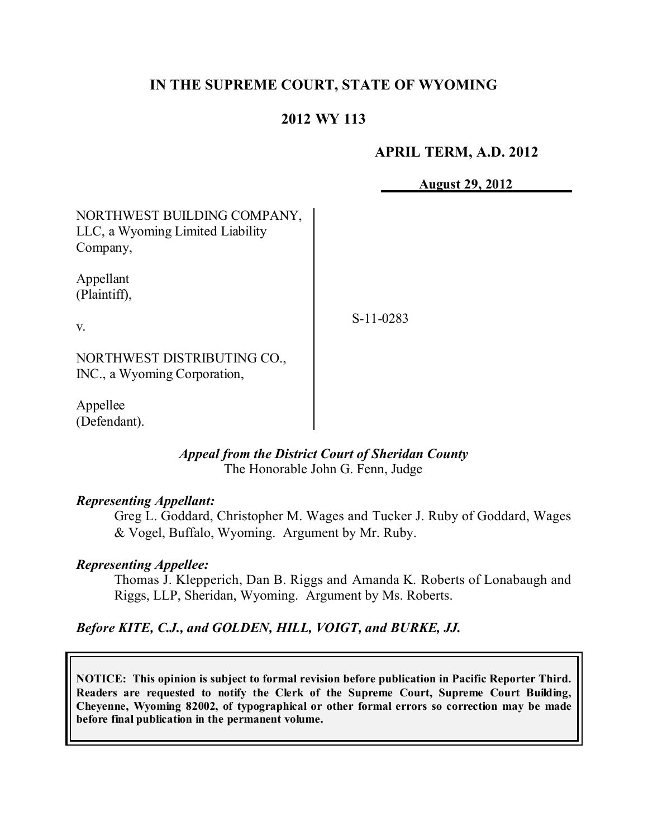## **IN THE SUPREME COURT, STATE OF WYOMING**

## **2012 WY 113**

### **APRIL TERM, A.D. 2012**

**August 29, 2012**

| NORTHWEST BUILDING COMPANY,<br>LLC, a Wyoming Limited Liability<br>Company, |             |
|-----------------------------------------------------------------------------|-------------|
| Appellant<br>(Plaintiff),                                                   |             |
| V.                                                                          | $S-11-0283$ |
| NORTHWEST DISTRIBUTING CO.,<br>INC., a Wyoming Corporation,                 |             |
| Appellee<br>(Defendant).                                                    |             |

### *Appeal from the District Court of Sheridan County* The Honorable John G. Fenn, Judge

#### *Representing Appellant:*

Greg L. Goddard, Christopher M. Wages and Tucker J. Ruby of Goddard, Wages & Vogel, Buffalo, Wyoming. Argument by Mr. Ruby.

#### *Representing Appellee:*

Thomas J. Klepperich, Dan B. Riggs and Amanda K. Roberts of Lonabaugh and Riggs, LLP, Sheridan, Wyoming. Argument by Ms. Roberts.

## *Before KITE, C.J., and GOLDEN, HILL, VOIGT, and BURKE, JJ.*

**NOTICE: This opinion is subject to formal revision before publication in Pacific Reporter Third. Readers are requested to notify the Clerk of the Supreme Court, Supreme Court Building, Cheyenne, Wyoming 82002, of typographical or other formal errors so correction may be made before final publication in the permanent volume.**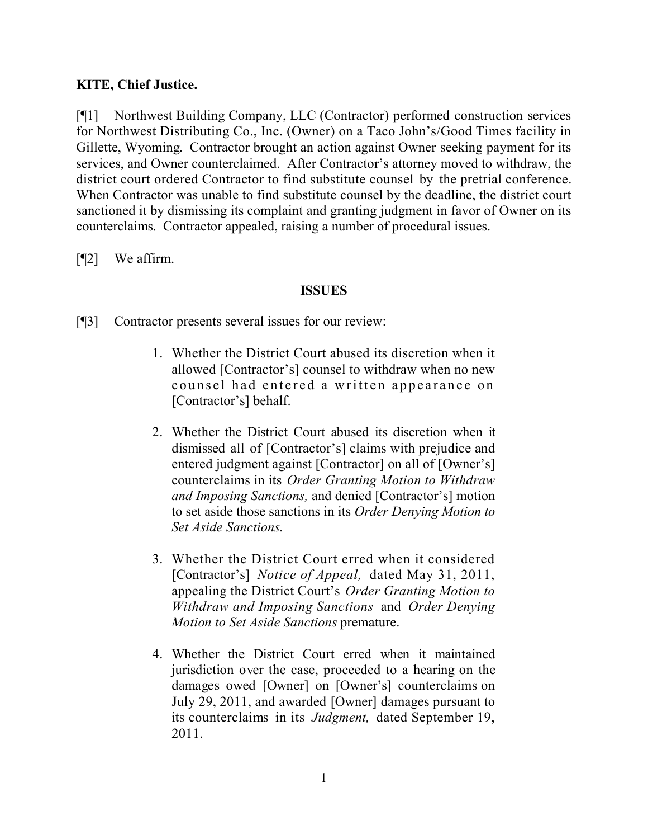## **KITE, Chief Justice.**

[¶1] Northwest Building Company, LLC (Contractor) performed construction services for Northwest Distributing Co., Inc. (Owner) on a Taco John's/Good Times facility in Gillette, Wyoming. Contractor brought an action against Owner seeking payment for its services, and Owner counterclaimed. After Contractor's attorney moved to withdraw, the district court ordered Contractor to find substitute counsel by the pretrial conference. When Contractor was unable to find substitute counsel by the deadline, the district court sanctioned it by dismissing its complaint and granting judgment in favor of Owner on its counterclaims. Contractor appealed, raising a number of procedural issues.

[¶2] We affirm.

### **ISSUES**

- [¶3] Contractor presents several issues for our review:
	- 1. Whether the District Court abused its discretion when it allowed [Contractor's] counsel to withdraw when no new counsel had entered a written appearance on [Contractor's] behalf.
	- 2. Whether the District Court abused its discretion when it dismissed all of [Contractor's] claims with prejudice and entered judgment against [Contractor] on all of [Owner's] counterclaims in its *Order Granting Motion to Withdraw and Imposing Sanctions,* and denied [Contractor's] motion to set aside those sanctions in its *Order Denying Motion to Set Aside Sanctions.*
	- 3. Whether the District Court erred when it considered [Contractor's] *Notice of Appeal,* dated May 31, 2011, appealing the District Court's *Order Granting Motion to Withdraw and Imposing Sanctions* and *Order Denying Motion to Set Aside Sanctions* premature.
	- 4. Whether the District Court erred when it maintained jurisdiction over the case, proceeded to a hearing on the damages owed [Owner] on [Owner's] counterclaims on July 29, 2011, and awarded [Owner] damages pursuant to its counterclaims in its *Judgment,* dated September 19, 2011.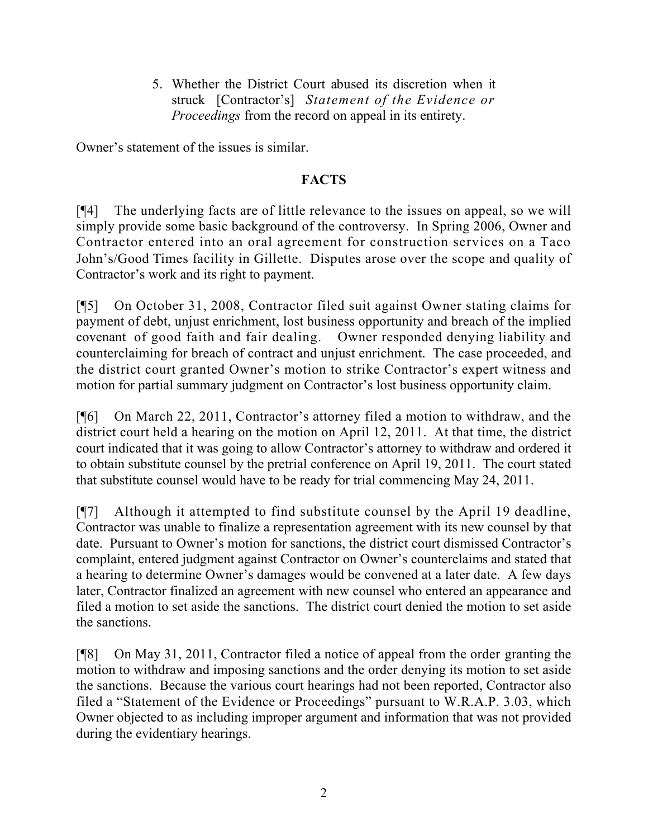5. Whether the District Court abused its discretion when it struck [Contractor's] *Statement of the Evidence or Proceedings* from the record on appeal in its entirety.

Owner's statement of the issues is similar.

## **FACTS**

[¶4] The underlying facts are of little relevance to the issues on appeal, so we will simply provide some basic background of the controversy. In Spring 2006, Owner and Contractor entered into an oral agreement for construction services on a Taco John's/Good Times facility in Gillette. Disputes arose over the scope and quality of Contractor's work and its right to payment.

[¶5] On October 31, 2008, Contractor filed suit against Owner stating claims for payment of debt, unjust enrichment, lost business opportunity and breach of the implied covenant of good faith and fair dealing. Owner responded denying liability and counterclaiming for breach of contract and unjust enrichment. The case proceeded, and the district court granted Owner's motion to strike Contractor's expert witness and motion for partial summary judgment on Contractor's lost business opportunity claim.

[¶6] On March 22, 2011, Contractor's attorney filed a motion to withdraw, and the district court held a hearing on the motion on April 12, 2011. At that time, the district court indicated that it was going to allow Contractor's attorney to withdraw and ordered it to obtain substitute counsel by the pretrial conference on April 19, 2011. The court stated that substitute counsel would have to be ready for trial commencing May 24, 2011.

[¶7] Although it attempted to find substitute counsel by the April 19 deadline, Contractor was unable to finalize a representation agreement with its new counsel by that date. Pursuant to Owner's motion for sanctions, the district court dismissed Contractor's complaint, entered judgment against Contractor on Owner's counterclaims and stated that a hearing to determine Owner's damages would be convened at a later date. A few days later, Contractor finalized an agreement with new counsel who entered an appearance and filed a motion to set aside the sanctions. The district court denied the motion to set aside the sanctions.

[¶8] On May 31, 2011, Contractor filed a notice of appeal from the order granting the motion to withdraw and imposing sanctions and the order denying its motion to set aside the sanctions. Because the various court hearings had not been reported, Contractor also filed a "Statement of the Evidence or Proceedings" pursuant to W.R.A.P. 3.03, which Owner objected to as including improper argument and information that was not provided during the evidentiary hearings.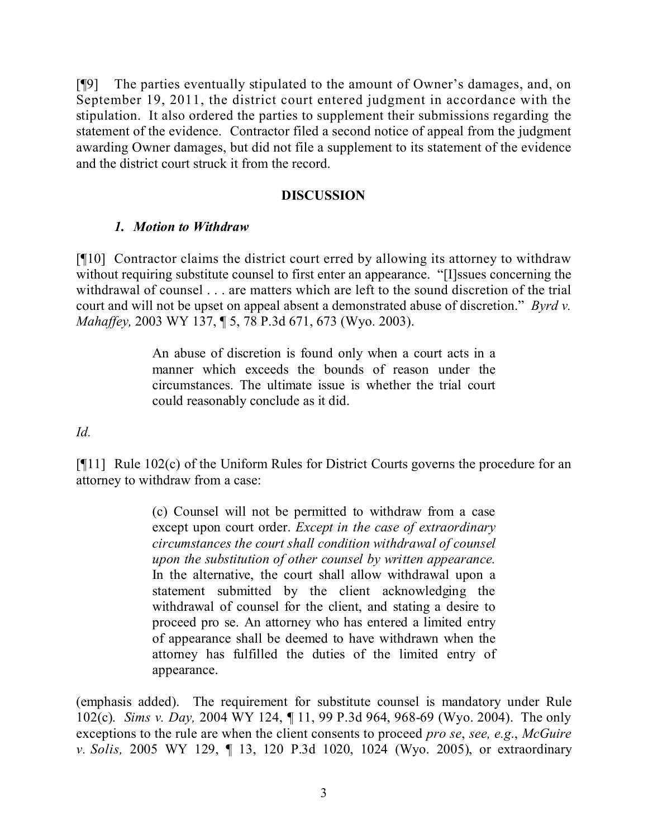[¶9] The parties eventually stipulated to the amount of Owner's damages, and, on September 19, 2011, the district court entered judgment in accordance with the stipulation. It also ordered the parties to supplement their submissions regarding the statement of the evidence. Contractor filed a second notice of appeal from the judgment awarding Owner damages, but did not file a supplement to its statement of the evidence and the district court struck it from the record.

## **DISCUSSION**

# *1. Motion to Withdraw*

[¶10] Contractor claims the district court erred by allowing its attorney to withdraw without requiring substitute counsel to first enter an appearance. "[I]ssues concerning the withdrawal of counsel . . . are matters which are left to the sound discretion of the trial court and will not be upset on appeal absent a demonstrated abuse of discretion." *Byrd v. Mahaffey,* 2003 WY 137, ¶ 5, 78 P.3d 671, 673 (Wyo. 2003).

> An abuse of discretion is found only when a court acts in a manner which exceeds the bounds of reason under the circumstances. The ultimate issue is whether the trial court could reasonably conclude as it did.

*Id.*

[¶11] Rule 102(c) of the Uniform Rules for District Courts governs the procedure for an attorney to withdraw from a case:

> (c) Counsel will not be permitted to withdraw from a case except upon court order. *Except in the case of extraordinary circumstances the court shall condition withdrawal of counsel upon the substitution of other counsel by written appearance.* In the alternative, the court shall allow withdrawal upon a statement submitted by the client acknowledging the withdrawal of counsel for the client, and stating a desire to proceed pro se. An attorney who has entered a limited entry of appearance shall be deemed to have withdrawn when the attorney has fulfilled the duties of the limited entry of appearance.

(emphasis added). The requirement for substitute counsel is mandatory under Rule 102(c). *Sims v. Day,* 2004 WY 124, ¶ 11, 99 P.3d 964, 968-69 (Wyo. 2004). The only exceptions to the rule are when the client consents to proceed *pro se*, *see, e.g*., *McGuire v. Solis,* 2005 WY 129, ¶ 13, 120 P.3d 1020, 1024 (Wyo. 2005), or extraordinary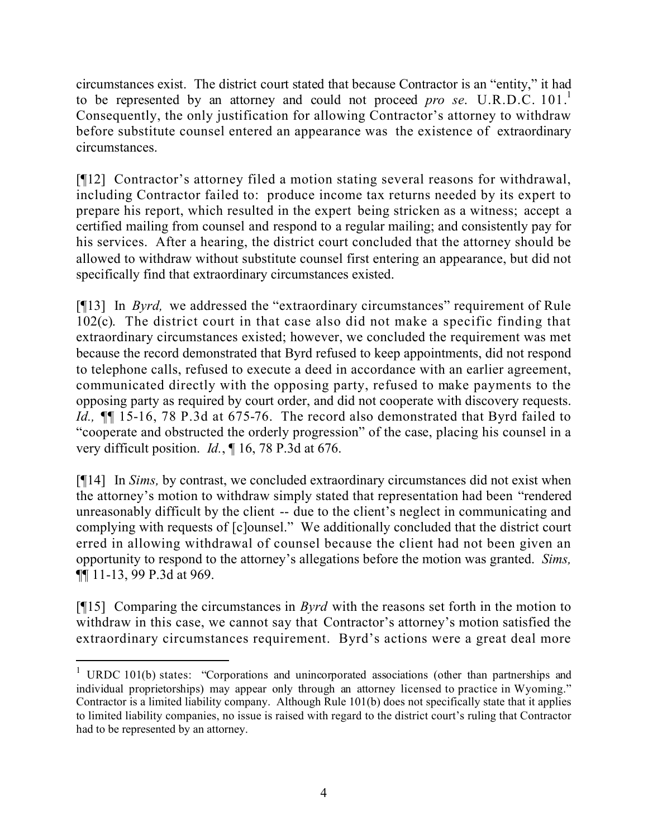circumstances exist. The district court stated that because Contractor is an "entity," it had to be represented by an attorney and could not proceed *pro* se. U.R.D.C. 101.<sup>1</sup> Consequently, the only justification for allowing Contractor's attorney to withdraw before substitute counsel entered an appearance was the existence of extraordinary circumstances.

[¶12] Contractor's attorney filed a motion stating several reasons for withdrawal, including Contractor failed to: produce income tax returns needed by its expert to prepare his report, which resulted in the expert being stricken as a witness; accept a certified mailing from counsel and respond to a regular mailing; and consistently pay for his services. After a hearing, the district court concluded that the attorney should be allowed to withdraw without substitute counsel first entering an appearance, but did not specifically find that extraordinary circumstances existed.

[¶13] In *Byrd,* we addressed the "extraordinary circumstances" requirement of Rule 102(c). The district court in that case also did not make a specific finding that extraordinary circumstances existed; however, we concluded the requirement was met because the record demonstrated that Byrd refused to keep appointments, did not respond to telephone calls, refused to execute a deed in accordance with an earlier agreement, communicated directly with the opposing party, refused to make payments to the opposing party as required by court order, and did not cooperate with discovery requests. *Id.,* ¶¶ 15-16, 78 P.3d at 675-76. The record also demonstrated that Byrd failed to "cooperate and obstructed the orderly progression" of the case, placing his counsel in a very difficult position. *Id.*, ¶ 16, 78 P.3d at 676.

[¶14] In *Sims,* by contrast, we concluded extraordinary circumstances did not exist when the attorney's motion to withdraw simply stated that representation had been "rendered unreasonably difficult by the client -- due to the client's neglect in communicating and complying with requests of [c]ounsel." We additionally concluded that the district court erred in allowing withdrawal of counsel because the client had not been given an opportunity to respond to the attorney's allegations before the motion was granted. *Sims,*  ¶¶ 11-13, 99 P.3d at 969.

[¶15] Comparing the circumstances in *Byrd* with the reasons set forth in the motion to withdraw in this case, we cannot say that Contractor's attorney's motion satisfied the extraordinary circumstances requirement. Byrd's actions were a great deal more

 $\overline{a}$ 

<sup>&</sup>lt;sup>1</sup> URDC 101(b) states: "Corporations and unincorporated associations (other than partnerships and individual proprietorships) may appear only through an attorney licensed to practice in Wyoming." Contractor is a limited liability company. Although Rule 101(b) does not specifically state that it applies to limited liability companies, no issue is raised with regard to the district court's ruling that Contractor had to be represented by an attorney.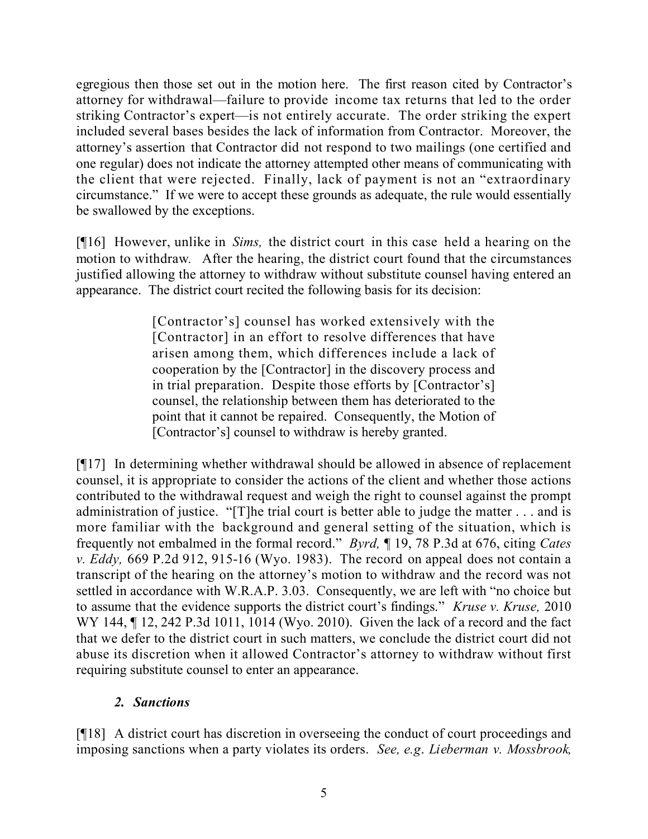egregious then those set out in the motion here. The first reason cited by Contractor's attorney for withdrawal—failure to provide income tax returns that led to the order striking Contractor's expert—is not entirely accurate. The order striking the expert included several bases besides the lack of information from Contractor. Moreover, the attorney's assertion that Contractor did not respond to two mailings (one certified and one regular) does not indicate the attorney attempted other means of communicating with the client that were rejected. Finally, lack of payment is not an "extraordinary circumstance." If we were to accept these grounds as adequate, the rule would essentially be swallowed by the exceptions.

[¶16] However, unlike in *Sims,* the district court in this case held a hearing on the motion to withdraw*.* After the hearing, the district court found that the circumstances justified allowing the attorney to withdraw without substitute counsel having entered an appearance. The district court recited the following basis for its decision:

> [Contractor's] counsel has worked extensively with the [Contractor] in an effort to resolve differences that have arisen among them, which differences include a lack of cooperation by the [Contractor] in the discovery process and in trial preparation. Despite those efforts by [Contractor's] counsel, the relationship between them has deteriorated to the point that it cannot be repaired. Consequently, the Motion of [Contractor's] counsel to withdraw is hereby granted.

[¶17] In determining whether withdrawal should be allowed in absence of replacement counsel, it is appropriate to consider the actions of the client and whether those actions contributed to the withdrawal request and weigh the right to counsel against the prompt administration of justice. "[T]he trial court is better able to judge the matter . . . and is more familiar with the background and general setting of the situation, which is frequently not embalmed in the formal record." *Byrd,* ¶ 19, 78 P.3d at 676, citing *Cates v. Eddy,* 669 P.2d 912, 915-16 (Wyo. 1983). The record on appeal does not contain a transcript of the hearing on the attorney's motion to withdraw and the record was not settled in accordance with W.R.A.P. 3.03. Consequently, we are left with "no choice but to assume that the evidence supports the district court's findings." *Kruse v. Kruse,* 2010 WY 144, ¶ 12, 242 P.3d 1011, 1014 (Wyo. 2010). Given the lack of a record and the fact that we defer to the district court in such matters, we conclude the district court did not abuse its discretion when it allowed Contractor's attorney to withdraw without first requiring substitute counsel to enter an appearance.

# *2. Sanctions*

[¶18] A district court has discretion in overseeing the conduct of court proceedings and imposing sanctions when a party violates its orders. *See, e.g*. *Lieberman v. Mossbrook,*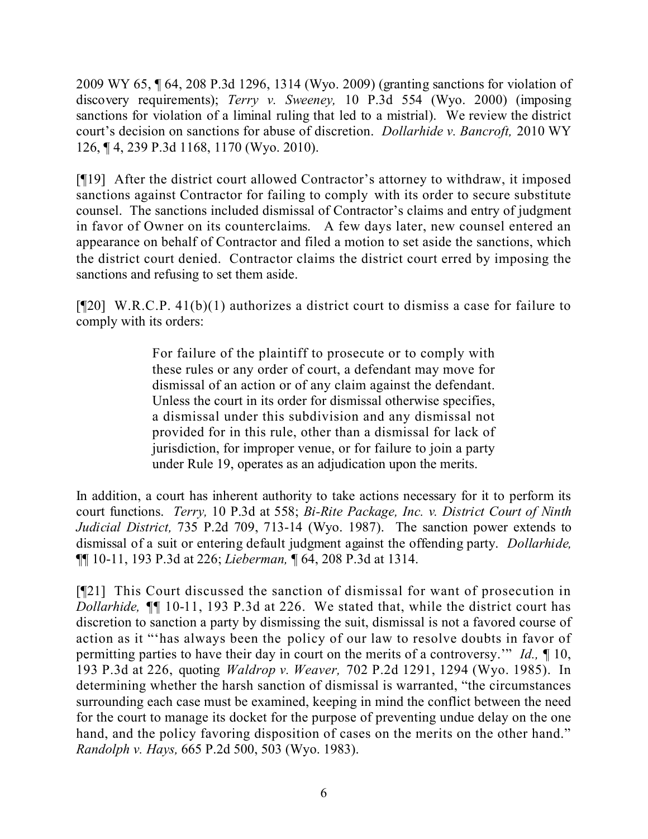2009 WY 65, ¶ 64, 208 P.3d 1296, 1314 (Wyo. 2009) (granting sanctions for violation of discovery requirements); *Terry v. Sweeney,* 10 P.3d 554 (Wyo. 2000) (imposing sanctions for violation of a liminal ruling that led to a mistrial). We review the district court's decision on sanctions for abuse of discretion. *Dollarhide v. Bancroft,* 2010 WY 126, ¶ 4, 239 P.3d 1168, 1170 (Wyo. 2010).

[¶19] After the district court allowed Contractor's attorney to withdraw, it imposed sanctions against Contractor for failing to comply with its order to secure substitute counsel. The sanctions included dismissal of Contractor's claims and entry of judgment in favor of Owner on its counterclaims. A few days later, new counsel entered an appearance on behalf of Contractor and filed a motion to set aside the sanctions, which the district court denied. Contractor claims the district court erred by imposing the sanctions and refusing to set them aside.

[¶20] W.R.C.P. 41(b)(1) authorizes a district court to dismiss a case for failure to comply with its orders:

> For failure of the plaintiff to prosecute or to comply with these rules or any order of court, a defendant may move for dismissal of an action or of any claim against the defendant. Unless the court in its order for dismissal otherwise specifies, a dismissal under this subdivision and any dismissal not provided for in this rule, other than a dismissal for lack of jurisdiction, for improper venue, or for failure to join a party under Rule 19, operates as an adjudication upon the merits.

In addition, a court has inherent authority to take actions necessary for it to perform its court functions. *Terry,* 10 P.3d at 558; *Bi-Rite Package, Inc. v. District Court of Ninth Judicial District,* 735 P.2d 709, 713-14 (Wyo. 1987). The sanction power extends to dismissal of a suit or entering default judgment against the offending party. *Dollarhide,* ¶¶ 10-11, 193 P.3d at 226; *Lieberman,* ¶ 64, 208 P.3d at 1314.

[¶21] This Court discussed the sanction of dismissal for want of prosecution in *Dollarhide,* ¶¶ 10-11, 193 P.3d at 226. We stated that, while the district court has discretion to sanction a party by dismissing the suit, dismissal is not a favored course of action as it "'has always been the policy of our law to resolve doubts in favor of permitting parties to have their day in court on the merits of a controversy.'" *Id.,* ¶ 10, 193 P.3d at 226, quoting *Waldrop v. Weaver,* 702 P.2d 1291, 1294 (Wyo. 1985). In determining whether the harsh sanction of dismissal is warranted, "the circumstances surrounding each case must be examined, keeping in mind the conflict between the need for the court to manage its docket for the purpose of preventing undue delay on the one hand, and the policy favoring disposition of cases on the merits on the other hand." *Randolph v. Hays,* 665 P.2d 500, 503 (Wyo. 1983).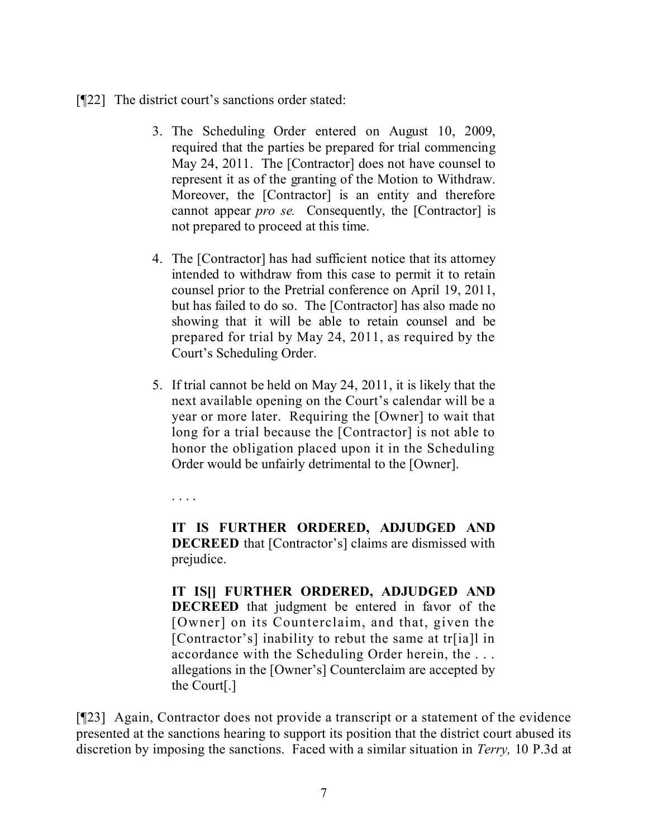- [¶22] The district court's sanctions order stated:
	- 3. The Scheduling Order entered on August 10, 2009, required that the parties be prepared for trial commencing May 24, 2011. The [Contractor] does not have counsel to represent it as of the granting of the Motion to Withdraw. Moreover, the [Contractor] is an entity and therefore cannot appear *pro se.* Consequently, the [Contractor] is not prepared to proceed at this time.
	- 4. The [Contractor] has had sufficient notice that its attorney intended to withdraw from this case to permit it to retain counsel prior to the Pretrial conference on April 19, 2011, but has failed to do so. The [Contractor] has also made no showing that it will be able to retain counsel and be prepared for trial by May 24, 2011, as required by the Court's Scheduling Order.
	- 5. If trial cannot be held on May 24, 2011, it is likely that the next available opening on the Court's calendar will be a year or more later. Requiring the [Owner] to wait that long for a trial because the [Contractor] is not able to honor the obligation placed upon it in the Scheduling Order would be unfairly detrimental to the [Owner].

. . . .

**IT IS FURTHER ORDERED, ADJUDGED AND DECREED** that [Contractor's] claims are dismissed with prejudice.

**IT IS[] FURTHER ORDERED, ADJUDGED AND DECREED** that judgment be entered in favor of the [Owner] on its Counterclaim, and that, given the [Contractor's] inability to rebut the same at tr[ia]l in accordance with the Scheduling Order herein, the . . . allegations in the [Owner's] Counterclaim are accepted by the Court[.]

[¶23] Again, Contractor does not provide a transcript or a statement of the evidence presented at the sanctions hearing to support its position that the district court abused its discretion by imposing the sanctions. Faced with a similar situation in *Terry,* 10 P.3d at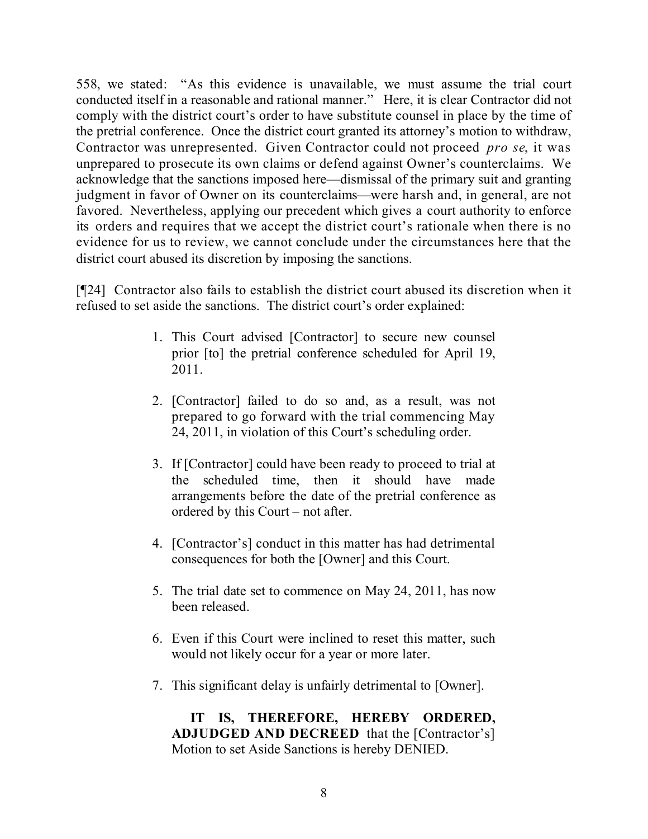558, we stated: "As this evidence is unavailable, we must assume the trial court conducted itself in a reasonable and rational manner." Here, it is clear Contractor did not comply with the district court's order to have substitute counsel in place by the time of the pretrial conference. Once the district court granted its attorney's motion to withdraw, Contractor was unrepresented. Given Contractor could not proceed *pro se*, it was unprepared to prosecute its own claims or defend against Owner's counterclaims. We acknowledge that the sanctions imposed here—dismissal of the primary suit and granting judgment in favor of Owner on its counterclaims—were harsh and, in general, are not favored. Nevertheless, applying our precedent which gives a court authority to enforce its orders and requires that we accept the district court's rationale when there is no evidence for us to review, we cannot conclude under the circumstances here that the district court abused its discretion by imposing the sanctions.

[¶24] Contractor also fails to establish the district court abused its discretion when it refused to set aside the sanctions. The district court's order explained:

- 1. This Court advised [Contractor] to secure new counsel prior [to] the pretrial conference scheduled for April 19, 2011.
- 2. [Contractor] failed to do so and, as a result, was not prepared to go forward with the trial commencing May 24, 2011, in violation of this Court's scheduling order.
- 3. If [Contractor] could have been ready to proceed to trial at the scheduled time, then it should have made arrangements before the date of the pretrial conference as ordered by this Court – not after.
- 4. [Contractor's] conduct in this matter has had detrimental consequences for both the [Owner] and this Court.
- 5. The trial date set to commence on May 24, 2011, has now been released.
- 6. Even if this Court were inclined to reset this matter, such would not likely occur for a year or more later.
- 7. This significant delay is unfairly detrimental to [Owner].

**IT IS, THEREFORE, HEREBY ORDERED, ADJUDGED AND DECREED** that the [Contractor's] Motion to set Aside Sanctions is hereby DENIED.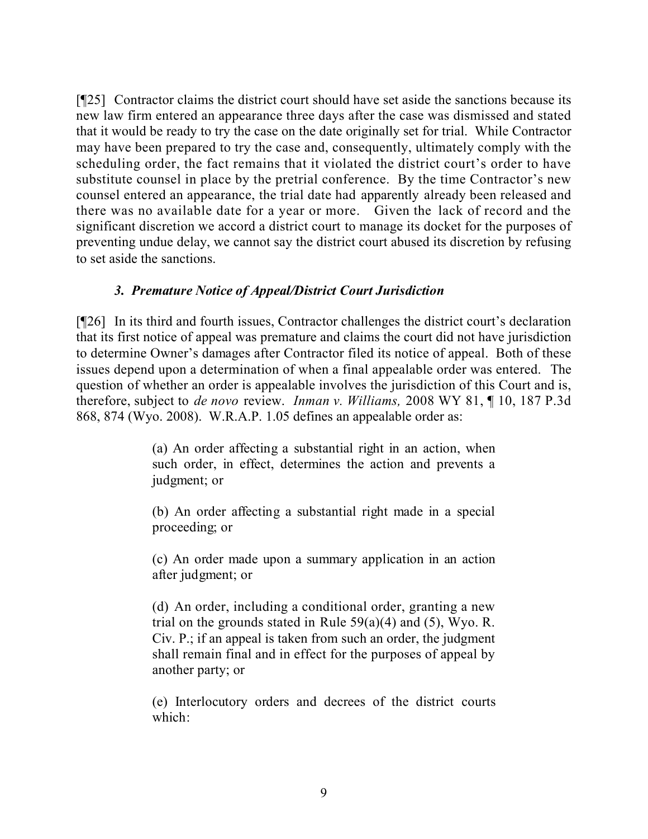[¶25] Contractor claims the district court should have set aside the sanctions because its new law firm entered an appearance three days after the case was dismissed and stated that it would be ready to try the case on the date originally set for trial. While Contractor may have been prepared to try the case and, consequently, ultimately comply with the scheduling order, the fact remains that it violated the district court's order to have substitute counsel in place by the pretrial conference. By the time Contractor's new counsel entered an appearance, the trial date had apparently already been released and there was no available date for a year or more. Given the lack of record and the significant discretion we accord a district court to manage its docket for the purposes of preventing undue delay, we cannot say the district court abused its discretion by refusing to set aside the sanctions.

## *3. Premature Notice of Appeal/District Court Jurisdiction*

[¶26] In its third and fourth issues, Contractor challenges the district court's declaration that its first notice of appeal was premature and claims the court did not have jurisdiction to determine Owner's damages after Contractor filed its notice of appeal. Both of these issues depend upon a determination of when a final appealable order was entered. The question of whether an order is appealable involves the jurisdiction of this Court and is, therefore, subject to *de novo* review. *Inman v. Williams,* 2008 WY 81, ¶ 10, 187 P.3d 868, 874 (Wyo. 2008). W.R.A.P. 1.05 defines an appealable order as:

> (a) An order affecting a substantial right in an action, when such order, in effect, determines the action and prevents a judgment; or

> (b) An order affecting a substantial right made in a special proceeding; or

> (c) An order made upon a summary application in an action after judgment; or

> (d) An order, including a conditional order, granting a new trial on the grounds stated in Rule  $59(a)(4)$  and  $(5)$ , Wyo. R. Civ. P.; if an appeal is taken from such an order, the judgment shall remain final and in effect for the purposes of appeal by another party; or

> (e) Interlocutory orders and decrees of the district courts which: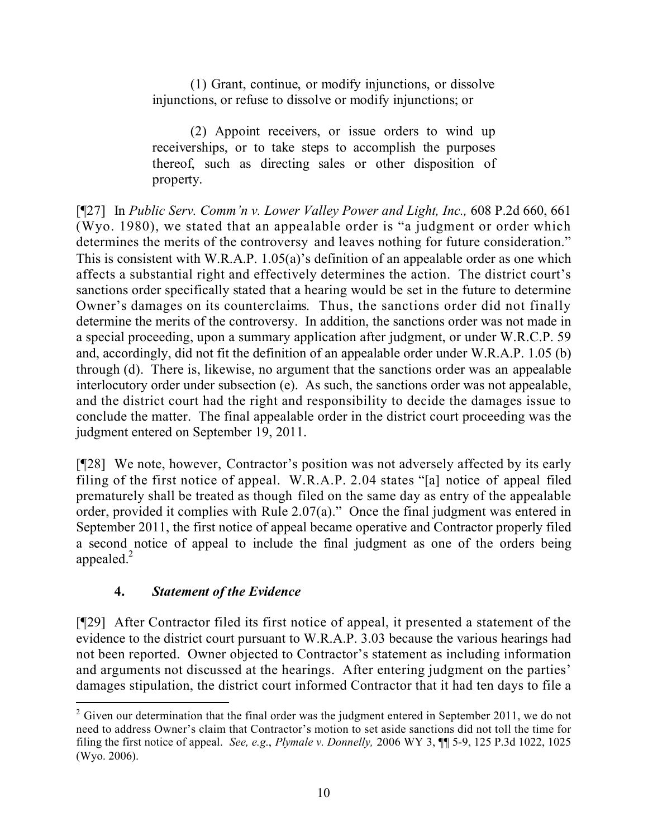(1) Grant, continue, or modify injunctions, or dissolve injunctions, or refuse to dissolve or modify injunctions; or

(2) Appoint receivers, or issue orders to wind up receiverships, or to take steps to accomplish the purposes thereof, such as directing sales or other disposition of property.

[¶27] In *Public Serv. Comm'n v. Lower Valley Power and Light, Inc.,* 608 P.2d 660, 661 (Wyo. 1980), we stated that an appealable order is "a judgment or order which determines the merits of the controversy and leaves nothing for future consideration." This is consistent with W.R.A.P. 1.05(a)'s definition of an appealable order as one which affects a substantial right and effectively determines the action. The district court's sanctions order specifically stated that a hearing would be set in the future to determine Owner's damages on its counterclaims. Thus, the sanctions order did not finally determine the merits of the controversy. In addition, the sanctions order was not made in a special proceeding, upon a summary application after judgment, or under W.R.C.P. 59 and, accordingly, did not fit the definition of an appealable order under W.R.A.P. 1.05 (b) through (d). There is, likewise, no argument that the sanctions order was an appealable interlocutory order under subsection (e). As such, the sanctions order was not appealable, and the district court had the right and responsibility to decide the damages issue to conclude the matter. The final appealable order in the district court proceeding was the judgment entered on September 19, 2011.

[¶28] We note, however, Contractor's position was not adversely affected by its early filing of the first notice of appeal. W.R.A.P. 2.04 states "[a] notice of appeal filed prematurely shall be treated as though filed on the same day as entry of the appealable order, provided it complies with Rule 2.07(a)." Once the final judgment was entered in September 2011, the first notice of appeal became operative and Contractor properly filed a second notice of appeal to include the final judgment as one of the orders being appealed. $^{2}$ 

# **4.** *Statement of the Evidence*

[¶29] After Contractor filed its first notice of appeal, it presented a statement of the evidence to the district court pursuant to W.R.A.P. 3.03 because the various hearings had not been reported. Owner objected to Contractor's statement as including information and arguments not discussed at the hearings. After entering judgment on the parties' damages stipulation, the district court informed Contractor that it had ten days to file a

 $\overline{a}$  $2$  Given our determination that the final order was the judgment entered in September 2011, we do not need to address Owner's claim that Contractor's motion to set aside sanctions did not toll the time for filing the first notice of appeal. *See, e.g*., *Plymale v. Donnelly,* 2006 WY 3, ¶¶ 5-9, 125 P.3d 1022, 1025 (Wyo. 2006).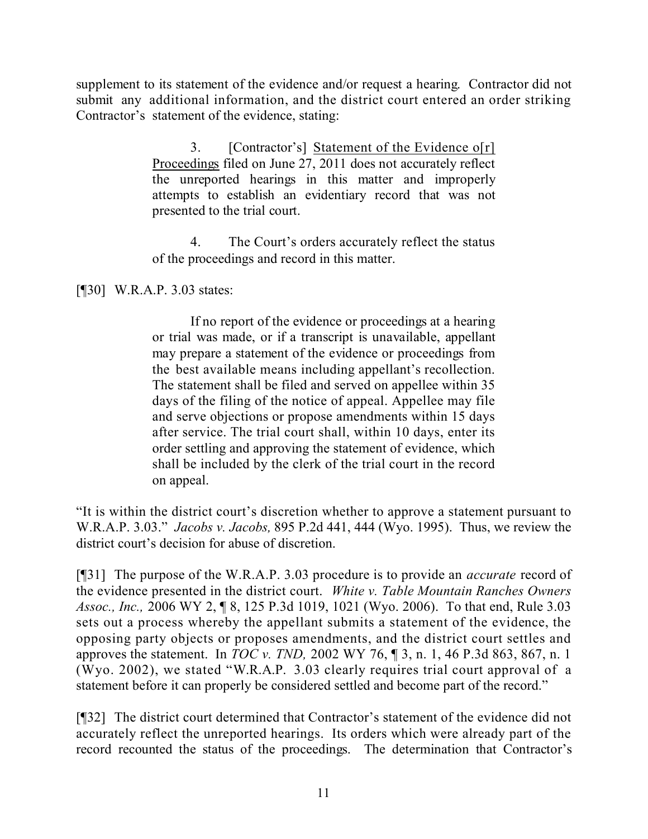supplement to its statement of the evidence and/or request a hearing. Contractor did not submit any additional information, and the district court entered an order striking Contractor's statement of the evidence, stating:

> 3. [Contractor's] Statement of the Evidence o[r] Proceedings filed on June 27, 2011 does not accurately reflect the unreported hearings in this matter and improperly attempts to establish an evidentiary record that was not presented to the trial court.

> 4. The Court's orders accurately reflect the status of the proceedings and record in this matter.

[¶30] W.R.A.P. 3.03 states:

If no report of the evidence or proceedings at a hearing or trial was made, or if a transcript is unavailable, appellant may prepare a statement of the evidence or proceedings from the best available means including appellant's recollection. The statement shall be filed and served on appellee within 35 days of the filing of the notice of appeal. Appellee may file and serve objections or propose amendments within 15 days after service. The trial court shall, within 10 days, enter its order settling and approving the statement of evidence, which shall be included by the clerk of the trial court in the record on appeal.

"It is within the district court's discretion whether to approve a statement pursuant to W.R.A.P. 3.03." *Jacobs v. Jacobs,* 895 P.2d 441, 444 (Wyo. 1995). Thus, we review the district court's decision for abuse of discretion.

[¶31] The purpose of the W.R.A.P. 3.03 procedure is to provide an *accurate* record of the evidence presented in the district court. *White v. Table Mountain Ranches Owners Assoc., Inc.,* 2006 WY 2, ¶ 8, 125 P.3d 1019, 1021 (Wyo. 2006). To that end, Rule 3.03 sets out a process whereby the appellant submits a statement of the evidence, the opposing party objects or proposes amendments, and the district court settles and approves the statement. In *TOC v. TND,* 2002 WY 76, ¶ 3, n. 1, 46 P.3d 863, 867, n. 1 (Wyo. 2002), we stated "W.R.A.P. 3.03 clearly requires trial court approval of a statement before it can properly be considered settled and become part of the record."

[¶32] The district court determined that Contractor's statement of the evidence did not accurately reflect the unreported hearings. Its orders which were already part of the record recounted the status of the proceedings. The determination that Contractor's